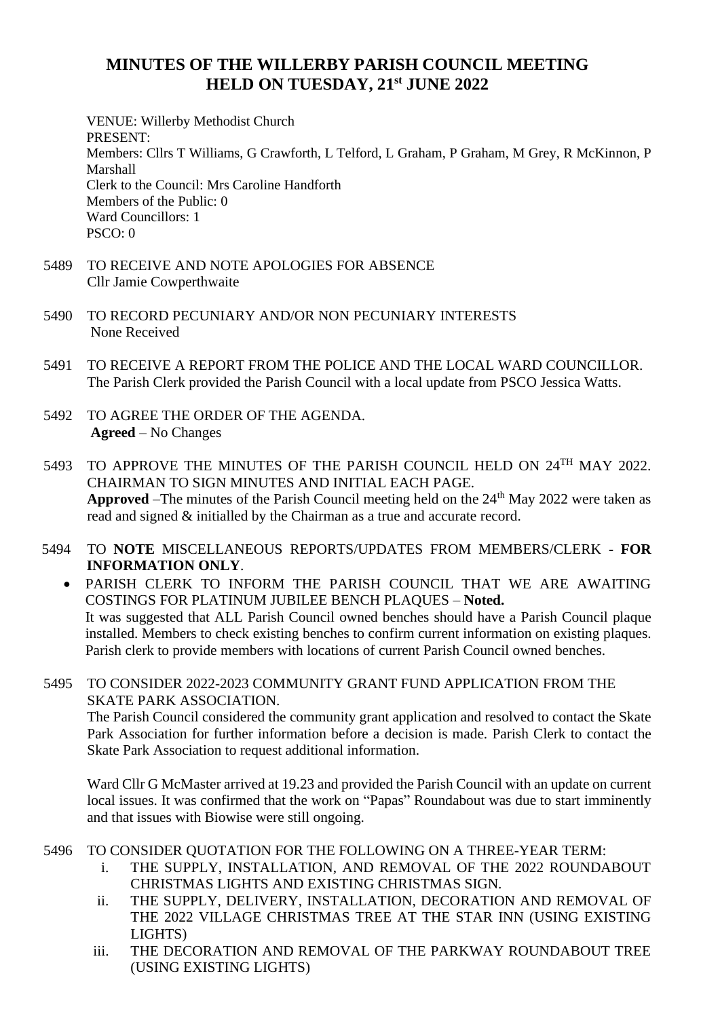## **MINUTES OF THE WILLERBY PARISH COUNCIL MEETING HELD ON TUESDAY, 21st JUNE 2022**

VENUE: Willerby Methodist Church PRESENT: Members: Cllrs T Williams, G Crawforth, L Telford, L Graham, P Graham, M Grey, R McKinnon, P Marshall Clerk to the Council: Mrs Caroline Handforth Members of the Public: 0 Ward Councillors: 1 PSCO: 0

- 5489 TO RECEIVE AND NOTE APOLOGIES FOR ABSENCE Cllr Jamie Cowperthwaite
- 5490 TO RECORD PECUNIARY AND/OR NON PECUNIARY INTERESTS None Received
- 5491 TO RECEIVE A REPORT FROM THE POLICE AND THE LOCAL WARD COUNCILLOR. The Parish Clerk provided the Parish Council with a local update from PSCO Jessica Watts.
- 5492 TO AGREE THE ORDER OF THE AGENDA.  **Agreed** – No Changes
- 5493 TO APPROVE THE MINUTES OF THE PARISH COUNCIL HELD ON 24TH MAY 2022. CHAIRMAN TO SIGN MINUTES AND INITIAL EACH PAGE. **Approved** –The minutes of the Parish Council meeting held on the  $24<sup>th</sup>$  May 2022 were taken as read and signed & initialled by the Chairman as a true and accurate record.
- 5494 TO **NOTE** MISCELLANEOUS REPORTS/UPDATES FROM MEMBERS/CLERK **- FOR INFORMATION ONLY**.
	- PARISH CLERK TO INFORM THE PARISH COUNCIL THAT WE ARE AWAITING COSTINGS FOR PLATINUM JUBILEE BENCH PLAQUES – **Noted.** It was suggested that ALL Parish Council owned benches should have a Parish Council plaque installed. Members to check existing benches to confirm current information on existing plaques. Parish clerk to provide members with locations of current Parish Council owned benches.
- 5495 TO CONSIDER 2022-2023 COMMUNITY GRANT FUND APPLICATION FROM THE SKATE PARK ASSOCIATION.

The Parish Council considered the community grant application and resolved to contact the Skate Park Association for further information before a decision is made. Parish Clerk to contact the Skate Park Association to request additional information.

Ward Cllr G McMaster arrived at 19.23 and provided the Parish Council with an update on current local issues. It was confirmed that the work on "Papas" Roundabout was due to start imminently and that issues with Biowise were still ongoing.

### 5496 TO CONSIDER QUOTATION FOR THE FOLLOWING ON A THREE-YEAR TERM:

- i. THE SUPPLY, INSTALLATION, AND REMOVAL OF THE 2022 ROUNDABOUT CHRISTMAS LIGHTS AND EXISTING CHRISTMAS SIGN.
- ii. THE SUPPLY, DELIVERY, INSTALLATION, DECORATION AND REMOVAL OF THE 2022 VILLAGE CHRISTMAS TREE AT THE STAR INN (USING EXISTING LIGHTS)
- iii. THE DECORATION AND REMOVAL OF THE PARKWAY ROUNDABOUT TREE (USING EXISTING LIGHTS)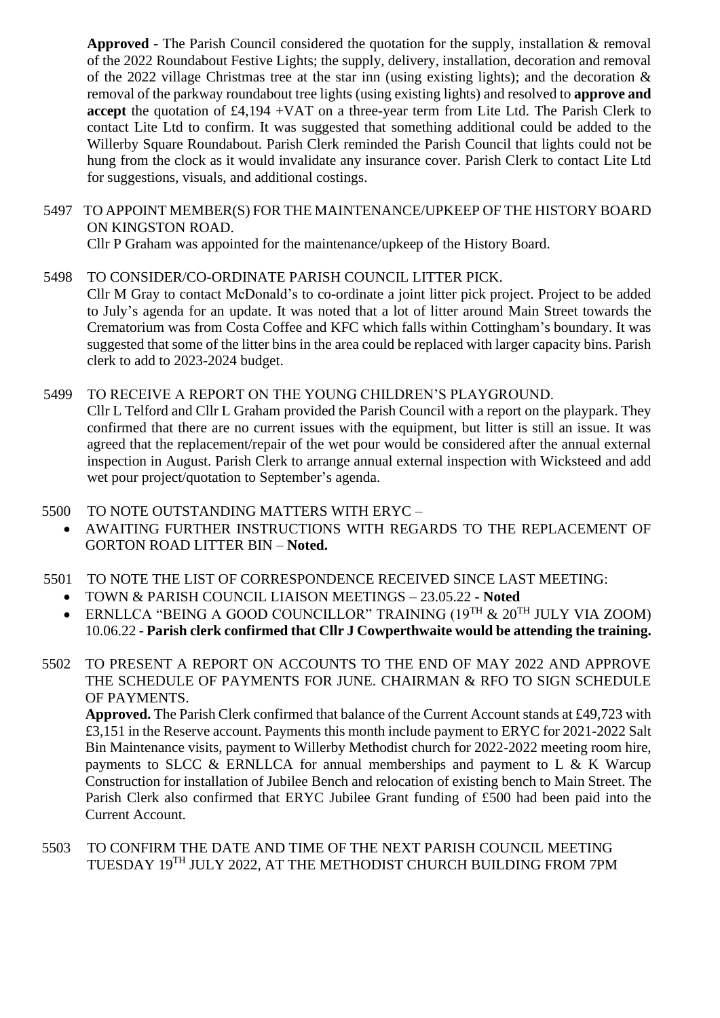**Approved** - The Parish Council considered the quotation for the supply, installation & removal of the 2022 Roundabout Festive Lights; the supply, delivery, installation, decoration and removal of the 2022 village Christmas tree at the star inn (using existing lights); and the decoration & removal of the parkway roundabout tree lights (using existing lights) and resolved to **approve and accept** the quotation of £4,194 +VAT on a three-year term from Lite Ltd. The Parish Clerk to contact Lite Ltd to confirm. It was suggested that something additional could be added to the Willerby Square Roundabout. Parish Clerk reminded the Parish Council that lights could not be hung from the clock as it would invalidate any insurance cover. Parish Clerk to contact Lite Ltd for suggestions, visuals, and additional costings.

#### 5497 TO APPOINT MEMBER(S) FOR THE MAINTENANCE/UPKEEP OF THE HISTORY BOARD ON KINGSTON ROAD.

Cllr P Graham was appointed for the maintenance/upkeep of the History Board.

5498 TO CONSIDER/CO-ORDINATE PARISH COUNCIL LITTER PICK.

Cllr M Gray to contact McDonald's to co-ordinate a joint litter pick project. Project to be added to July's agenda for an update. It was noted that a lot of litter around Main Street towards the Crematorium was from Costa Coffee and KFC which falls within Cottingham's boundary. It was suggested that some of the litter bins in the area could be replaced with larger capacity bins. Parish clerk to add to 2023-2024 budget.

#### 5499 TO RECEIVE A REPORT ON THE YOUNG CHILDREN'S PLAYGROUND.

Cllr L Telford and Cllr L Graham provided the Parish Council with a report on the playpark. They confirmed that there are no current issues with the equipment, but litter is still an issue. It was agreed that the replacement/repair of the wet pour would be considered after the annual external inspection in August. Parish Clerk to arrange annual external inspection with Wicksteed and add wet pour project/quotation to September's agenda.

#### 5500 TO NOTE OUTSTANDING MATTERS WITH ERYC –

- AWAITING FURTHER INSTRUCTIONS WITH REGARDS TO THE REPLACEMENT OF GORTON ROAD LITTER BIN – **Noted.**
- 5501 TO NOTE THE LIST OF CORRESPONDENCE RECEIVED SINCE LAST MEETING:
	- TOWN & PARISH COUNCIL LIAISON MEETINGS 23.05.22 **Noted**
	- ERNLLCA "BEING A GOOD COUNCILLOR" TRAINING  $(19^{TH} \& 20^{TH}$  JULY VIA ZOOM) 10.06.22 - **Parish clerk confirmed that Cllr J Cowperthwaite would be attending the training.**
- 5502 TO PRESENT A REPORT ON ACCOUNTS TO THE END OF MAY 2022 AND APPROVE THE SCHEDULE OF PAYMENTS FOR JUNE. CHAIRMAN & RFO TO SIGN SCHEDULE OF PAYMENTS.

**Approved.** The Parish Clerk confirmed that balance of the Current Account stands at £49,723 with £3,151 in the Reserve account. Payments this month include payment to ERYC for 2021-2022 Salt Bin Maintenance visits, payment to Willerby Methodist church for 2022-2022 meeting room hire, payments to SLCC  $\&$  ERNLLCA for annual memberships and payment to L  $\&$  K Warcup Construction for installation of Jubilee Bench and relocation of existing bench to Main Street. The Parish Clerk also confirmed that ERYC Jubilee Grant funding of £500 had been paid into the Current Account.

#### 5503 TO CONFIRM THE DATE AND TIME OF THE NEXT PARISH COUNCIL MEETING TUESDAY 19TH JULY 2022, AT THE METHODIST CHURCH BUILDING FROM 7PM